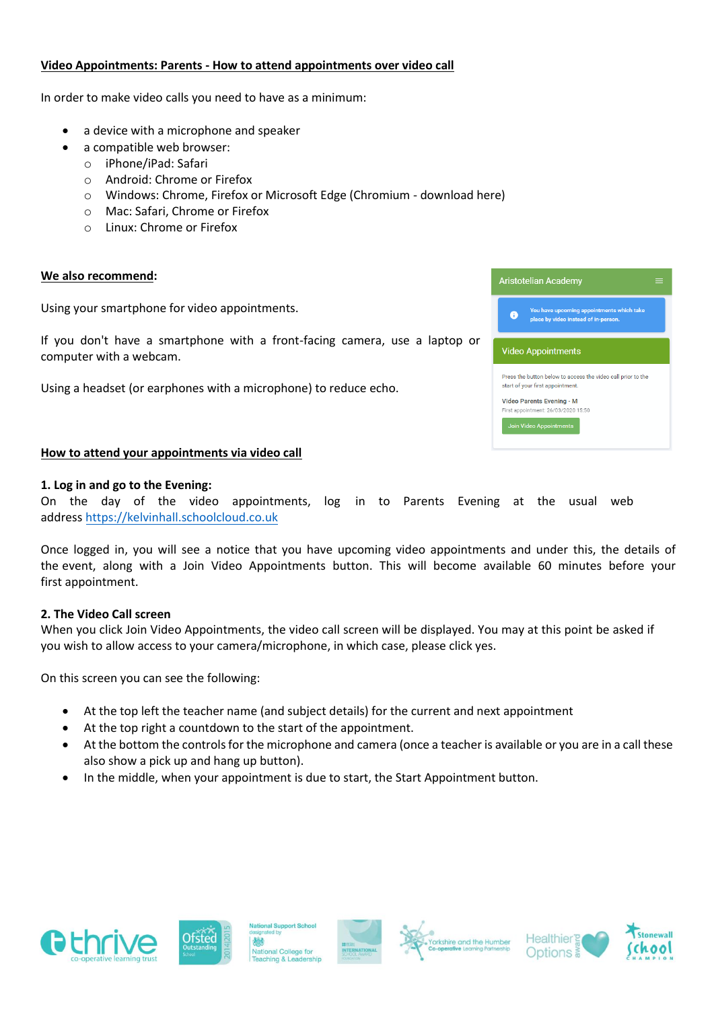### **Video Appointments: Parents - How to attend appointments over video call**

In order to make video calls you need to have as a minimum:

- a device with a microphone and speaker
- a compatible web browser:
	- o iPhone/iPad: Safari
	- o Android: Chrome or Firefox
	- o Windows: Chrome, Firefox or Microsoft Edge (Chromium download here)
	- o Mac: Safari, Chrome or Firefox
	- o Linux: Chrome or Firefox

#### **We also recommend:**

Using your smartphone for video appointments.

If you don't have a smartphone with a front-facing camera, use a laptop or computer with a webcam.

Using a headset (or earphones with a microphone) to reduce echo.

#### **How to attend your appointments via video call**

#### **1. Log in and go to the Evening:**

On the day of the video appointments, log in to Parents Evening at the usual web address [https://kelvinhall.schoolclou](https://kelvinhall.schoolcloud.co.uk/)d.co.uk

Once logged in, you will see a notice that you have upcoming video appointments and under this, the details of the event, along with a Join Video Appointments button. This will become available 60 minutes before your first appointment.

#### **2. The Video Call screen**

When you click Join Video Appointments, the video call screen will be displayed. You may at this point be asked if you wish to allow access to your camera/microphone, in which case, please click yes.

On this screen you can see the following:

- At the top left the teacher name (and subject details) for the current and next appointment
- At the top right a countdown to the start of the appointment.
- At the bottom the controls for the microphone and camera (once a teacher is available or you are in a call these also show a pick up and hang up button).
- In the middle, when your appointment is due to start, the Start Appointment button.

















| <b>Aristotelian Academy</b>                                                                      |  |
|--------------------------------------------------------------------------------------------------|--|
| You have upcoming appointments which take<br>A<br>place by video instead of in-person.           |  |
| <b>Video Appointments</b>                                                                        |  |
| Press the button below to access the video call prior to the<br>start of your first appointment. |  |
| Video Parents Evening - M<br>First appointment: 26/03/2020 15:50                                 |  |
| <b>Join Video Appointments</b>                                                                   |  |
|                                                                                                  |  |